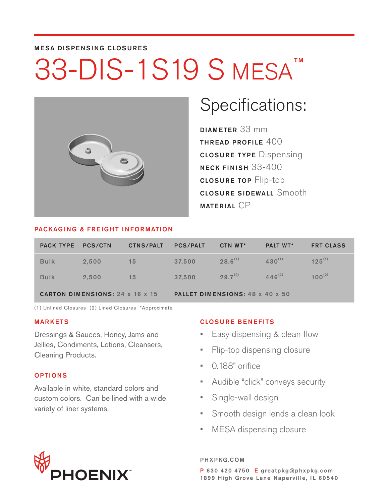### MESA DISPENSING CLOSURES

# 33-DIS-1S19 S MESA<sup>TM</sup>



## Specifications:

DIAMETER 33 mm THREAD PROFILE  $400$ CLOSURE TYPE Dispensing NECK FINISH 33-400 CLOSURE TOP Flip-top CLOSURE SIDEWALL Smooth MATERIAL CP

### PACKAGING & FREIGHT INFORMATION

| <b>PACK TYPE PCS/CTN</b> |                                        | <b>CTNS/PALT</b> | <b>PCS/PALT</b>                 | CTN WT*      | <b>PALT WT*</b> | <b>FRT CLASS</b> |  |  |  |  |
|--------------------------|----------------------------------------|------------------|---------------------------------|--------------|-----------------|------------------|--|--|--|--|
| <b>Bulk</b>              | 2.500                                  | 15               | 37.500                          | $28.6^{(1)}$ | $430^{(1)}$     | $125^{(1)}$      |  |  |  |  |
| <b>Bulk</b>              | 2.500                                  | 15               | 37.500                          | $29.7^{(2)}$ | $446^{(2)}$     | $100^{(2)}$      |  |  |  |  |
|                          | <b>CARTON DIMENSIONS: 24 x 16 x 15</b> |                  | PALLET DIMENSIONS: 48 x 40 x 50 |              |                 |                  |  |  |  |  |

(1) Unlined Closures (2) Lined Closures \*Approximate

### MARKETS

Dressings & Sauces, Honey, Jams and Jellies, Condiments, Lotions, Cleansers, Cleaning Products.

### OPTIONS

Available in white, standard colors and custom colors. Can be lined with a wide variety of liner systems.

### CLOSURE BENEFITS

- Easy dispensing & clean flow
- Flip-top dispensing closure
- 0.188" orifice
- Audible "click" conveys security
- Single-wall design
- Smooth design lends a clean look
- MESA dispensing closure

# **HOENIX**

#### PHXPKG.COM

P 630 420 4750 E greatpkg@phxpkg.com 1899 High Grove Lane Naperville, IL 60540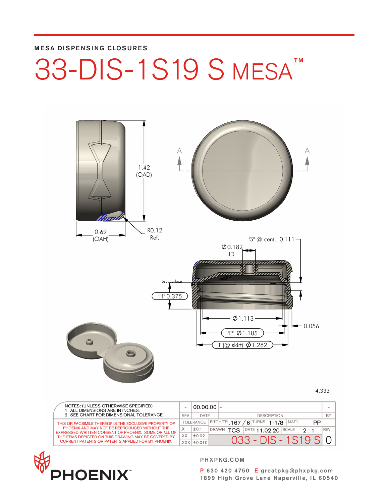### MESA DISPENSING CLOSURES

### 33-DIS-1S19 S MESA<sup>™</sup> TM



4.333

|  | NOTES: (UNLESS OTHERWISE SPECIFIED)<br>1. ALL DIMENSIONS ARE IN INCHES.                               |            | $ 00.00.00 $ -    |       |                                   |  |                    |                                         |                           |            |
|--|-------------------------------------------------------------------------------------------------------|------------|-------------------|-------|-----------------------------------|--|--------------------|-----------------------------------------|---------------------------|------------|
|  | 2. SEE CHART FOR DIMENSIONAL TOLERANCE.                                                               | <b>REV</b> | DATE              |       |                                   |  | <b>DESCRIPTION</b> |                                         |                           | BY         |
|  | THIS OR FACSIMILE THEREOF IS THE EXCLUSIVE PROPERTY OF                                                |            | TOLERANCE         |       | $ $ PITCH/TPI 167 / 6 TURNS 1-1/8 |  |                    | MAT'L                                   | РP                        |            |
|  | PHOENIX AND MAY NOT BE REPRODUCED WITHOUT THE<br>EXPRESSED WRITTEN CONSENT OF PHOENIX. SOME OR ALL OF |            | ±0.1              | DRAWN | <b>TCS</b>                        |  |                    | $\overline{\text{DATE}}$ 11.02.20 SCALE | $2 \cdot 1$               | <b>REV</b> |
|  | THE ITEMS DEPICTED ON THIS DRAWING MAY BE COVERED BY                                                  | XX.        | ±0.02             |       |                                   |  |                    |                                         |                           |            |
|  | <b>CURRENT PATENTS OR PATENTS APPLIED FOR BY PHOENIX.</b>                                             |            | $XXX$ $\pm$ 0.010 |       |                                   |  |                    |                                         | $0.33 - DIS - 1.519$ SI 0 |            |



PHXPKG.COM

P 630 420 4750 E greatpkg@phxpkg.com 1899 High Grove Lane Naperville, IL 60540